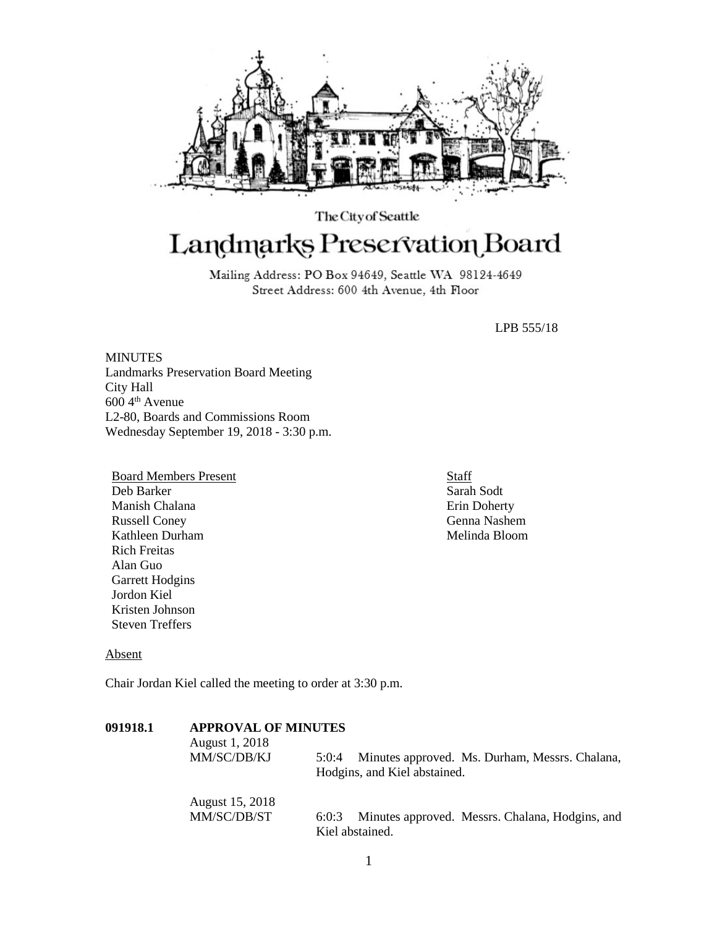

# The City of Seattle Landmarks Preservation Board

Mailing Address: PO Box 94649, Seattle WA 98124-4649 Street Address: 600 4th Avenue, 4th Floor

LPB 555/18

**MINUTES** Landmarks Preservation Board Meeting City Hall 600 4th Avenue L2-80, Boards and Commissions Room Wednesday September 19, 2018 - 3:30 p.m.

Board Members Present Deb Barker Manish Chalana Russell Coney Kathleen Durham Rich Freitas Alan Guo Garrett Hodgins Jordon Kiel Kristen Johnson Steven Treffers

**Staff** Sarah Sodt Erin Doherty Genna Nashem Melinda Bloom

## Absent

Chair Jordan Kiel called the meeting to order at 3:30 p.m.

| 091918.1 | <b>APPROVAL OF MINUTES</b><br>August 1, 2018<br>MM/SC/DB/KJ | Minutes approved. Ms. Durham, Messrs. Chalana,<br>5:0:4<br>Hodgins, and Kiel abstained. |
|----------|-------------------------------------------------------------|-----------------------------------------------------------------------------------------|
|          | August 15, 2018<br>MM/SC/DB/ST                              | Minutes approved. Messrs. Chalana, Hodgins, and<br>6:0:3<br>Kiel abstained.             |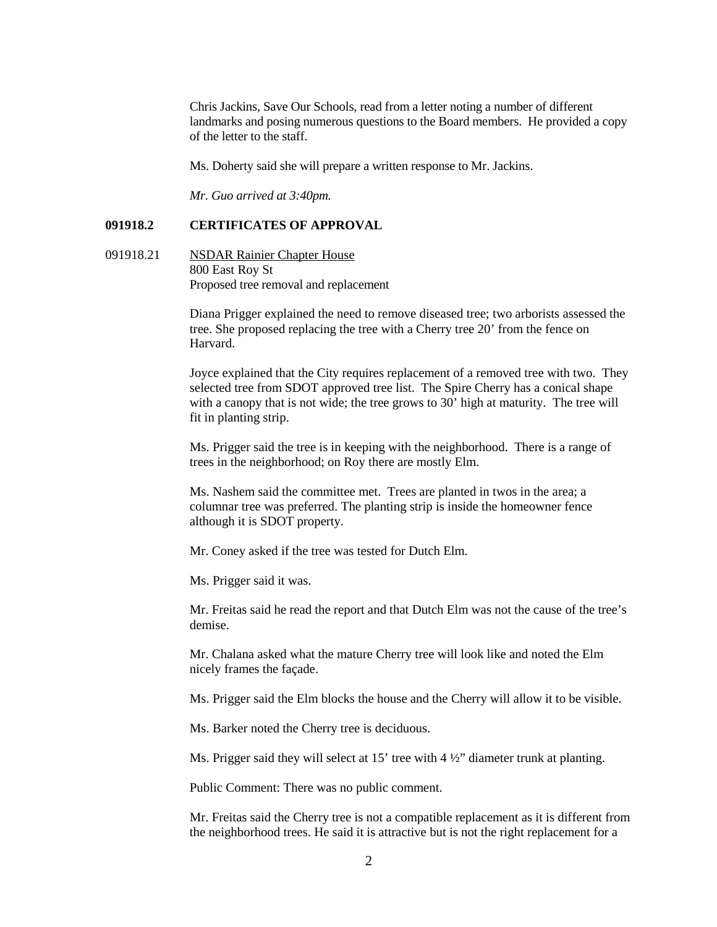Chris Jackins, Save Our Schools, read from a letter noting a number of different landmarks and posing numerous questions to the Board members. He provided a copy of the letter to the staff.

Ms. Doherty said she will prepare a written response to Mr. Jackins.

*Mr. Guo arrived at 3:40pm.*

## **091918.2 CERTIFICATES OF APPROVAL**

091918.21 NSDAR Rainier Chapter House 800 East Roy St Proposed tree removal and replacement

> Diana Prigger explained the need to remove diseased tree; two arborists assessed the tree. She proposed replacing the tree with a Cherry tree 20' from the fence on Harvard.

> Joyce explained that the City requires replacement of a removed tree with two. They selected tree from SDOT approved tree list. The Spire Cherry has a conical shape with a canopy that is not wide; the tree grows to 30' high at maturity. The tree will fit in planting strip.

Ms. Prigger said the tree is in keeping with the neighborhood. There is a range of trees in the neighborhood; on Roy there are mostly Elm.

Ms. Nashem said the committee met. Trees are planted in twos in the area; a columnar tree was preferred. The planting strip is inside the homeowner fence although it is SDOT property.

Mr. Coney asked if the tree was tested for Dutch Elm.

Ms. Prigger said it was.

Mr. Freitas said he read the report and that Dutch Elm was not the cause of the tree's demise.

Mr. Chalana asked what the mature Cherry tree will look like and noted the Elm nicely frames the façade.

Ms. Prigger said the Elm blocks the house and the Cherry will allow it to be visible.

Ms. Barker noted the Cherry tree is deciduous.

Ms. Prigger said they will select at 15' tree with 4  $\frac{1}{2}$ " diameter trunk at planting.

Public Comment: There was no public comment.

Mr. Freitas said the Cherry tree is not a compatible replacement as it is different from the neighborhood trees. He said it is attractive but is not the right replacement for a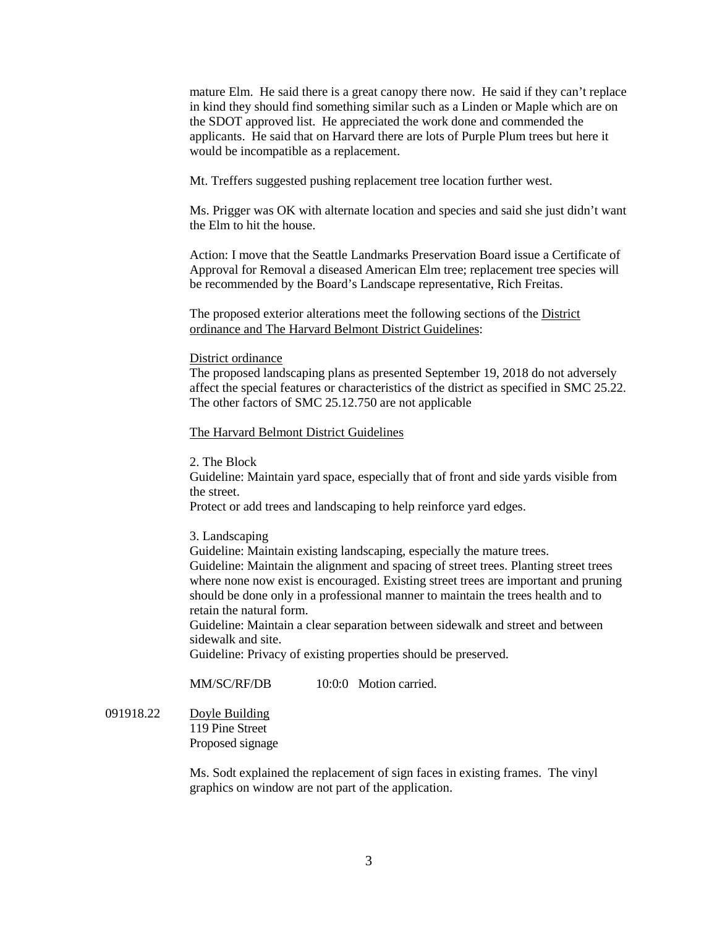mature Elm. He said there is a great canopy there now. He said if they can't replace in kind they should find something similar such as a Linden or Maple which are on the SDOT approved list. He appreciated the work done and commended the applicants. He said that on Harvard there are lots of Purple Plum trees but here it would be incompatible as a replacement.

Mt. Treffers suggested pushing replacement tree location further west.

Ms. Prigger was OK with alternate location and species and said she just didn't want the Elm to hit the house.

Action: I move that the Seattle Landmarks Preservation Board issue a Certificate of Approval for Removal a diseased American Elm tree; replacement tree species will be recommended by the Board's Landscape representative, Rich Freitas.

The proposed exterior alterations meet the following sections of the District ordinance and The Harvard Belmont District Guidelines:

## District ordinance

The proposed landscaping plans as presented September 19, 2018 do not adversely affect the special features or characteristics of the district as specified in SMC 25.22. The other factors of SMC 25.12.750 are not applicable

#### The Harvard Belmont District Guidelines

2. The Block

Guideline: Maintain yard space, especially that of front and side yards visible from the street.

Protect or add trees and landscaping to help reinforce yard edges.

3. Landscaping

Guideline: Maintain existing landscaping, especially the mature trees. Guideline: Maintain the alignment and spacing of street trees. Planting street trees where none now exist is encouraged. Existing street trees are important and pruning should be done only in a professional manner to maintain the trees health and to retain the natural form.

Guideline: Maintain a clear separation between sidewalk and street and between sidewalk and site.

Guideline: Privacy of existing properties should be preserved.

MM/SC/RF/DB 10:0:0 Motion carried.

091918.22 Doyle Building 119 Pine Street Proposed signage

> Ms. Sodt explained the replacement of sign faces in existing frames. The vinyl graphics on window are not part of the application.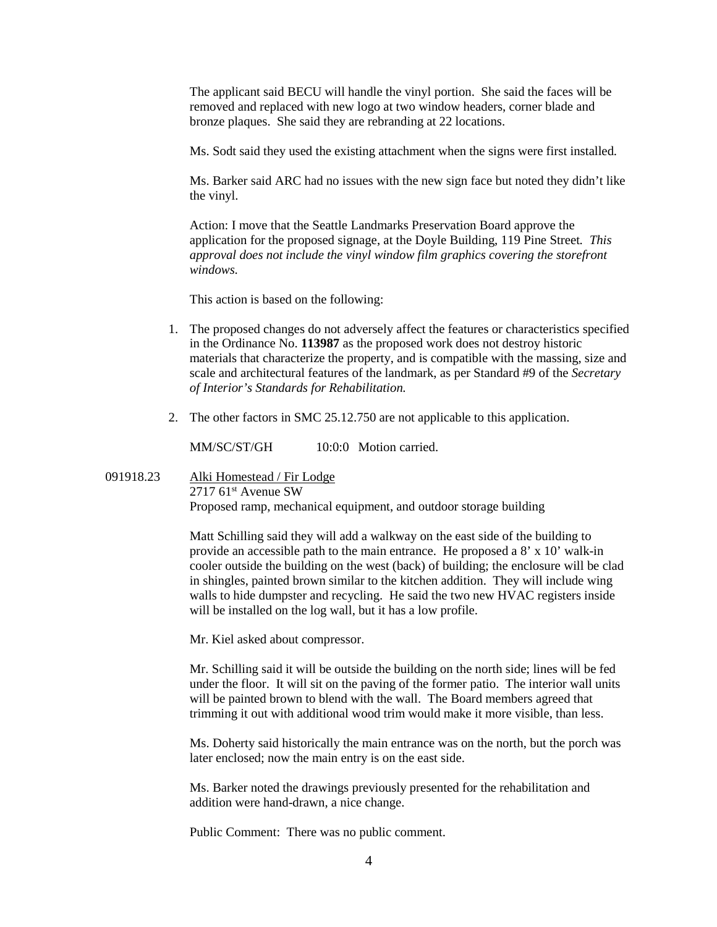The applicant said BECU will handle the vinyl portion. She said the faces will be removed and replaced with new logo at two window headers, corner blade and bronze plaques. She said they are rebranding at 22 locations.

Ms. Sodt said they used the existing attachment when the signs were first installed.

Ms. Barker said ARC had no issues with the new sign face but noted they didn't like the vinyl.

Action: I move that the Seattle Landmarks Preservation Board approve the application for the proposed signage, at the Doyle Building, 119 Pine Street*. This approval does not include the vinyl window film graphics covering the storefront windows.*

This action is based on the following:

- 1. The proposed changes do not adversely affect the features or characteristics specified in the Ordinance No. **113987** as the proposed work does not destroy historic materials that characterize the property, and is compatible with the massing, size and scale and architectural features of the landmark, as per Standard #9 of the *Secretary of Interior's Standards for Rehabilitation.*
- 2. The other factors in SMC 25.12.750 are not applicable to this application.

MM/SC/ST/GH 10:0:0 Motion carried.

091918.23 Alki Homestead / Fir Lodge  $2717$  61<sup>st</sup> Avenue SW Proposed ramp, mechanical equipment, and outdoor storage building

> Matt Schilling said they will add a walkway on the east side of the building to provide an accessible path to the main entrance. He proposed a 8' x 10' walk-in cooler outside the building on the west (back) of building; the enclosure will be clad in shingles, painted brown similar to the kitchen addition. They will include wing walls to hide dumpster and recycling. He said the two new HVAC registers inside will be installed on the log wall, but it has a low profile.

Mr. Kiel asked about compressor.

Mr. Schilling said it will be outside the building on the north side; lines will be fed under the floor. It will sit on the paving of the former patio. The interior wall units will be painted brown to blend with the wall. The Board members agreed that trimming it out with additional wood trim would make it more visible, than less.

Ms. Doherty said historically the main entrance was on the north, but the porch was later enclosed; now the main entry is on the east side.

Ms. Barker noted the drawings previously presented for the rehabilitation and addition were hand-drawn, a nice change.

Public Comment: There was no public comment.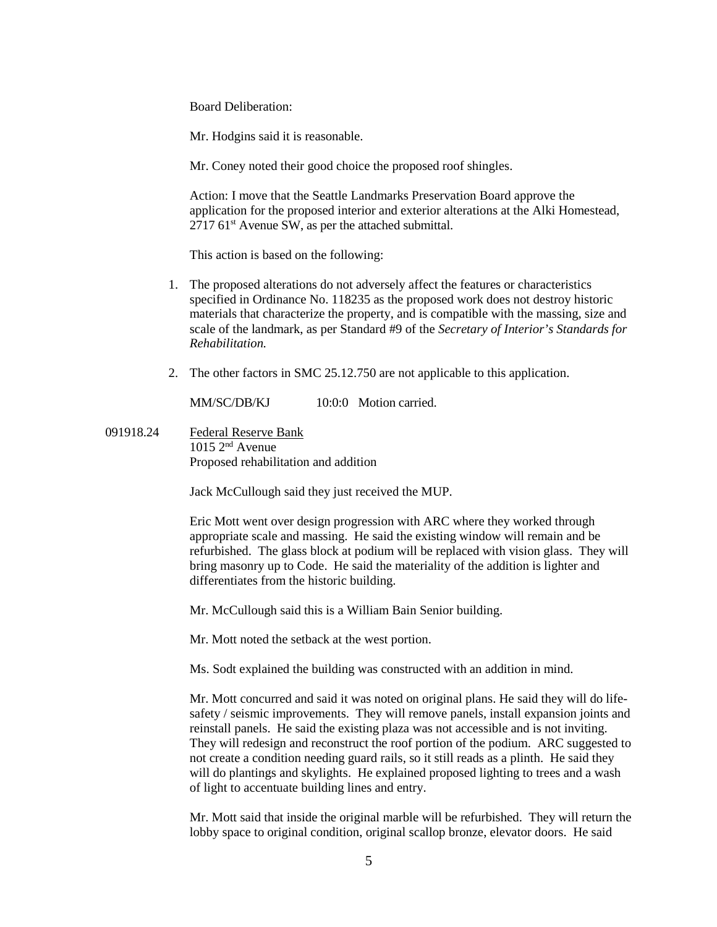Board Deliberation:

Mr. Hodgins said it is reasonable.

Mr. Coney noted their good choice the proposed roof shingles.

Action: I move that the Seattle Landmarks Preservation Board approve the application for the proposed interior and exterior alterations at the Alki Homestead,  $271761$ <sup>st</sup> Avenue SW, as per the attached submittal.

This action is based on the following:

- 1. The proposed alterations do not adversely affect the features or characteristics specified in Ordinance No. 118235 as the proposed work does not destroy historic materials that characterize the property, and is compatible with the massing, size and scale of the landmark, as per Standard #9 of the *Secretary of Interior's Standards for Rehabilitation.*
- 2. The other factors in SMC 25.12.750 are not applicable to this application.

MM/SC/DB/KJ 10:0:0 Motion carried.

091918.24 Federal Reserve Bank  $1015 \, 2^{nd}$  Avenue Proposed rehabilitation and addition

Jack McCullough said they just received the MUP.

Eric Mott went over design progression with ARC where they worked through appropriate scale and massing. He said the existing window will remain and be refurbished. The glass block at podium will be replaced with vision glass. They will bring masonry up to Code. He said the materiality of the addition is lighter and differentiates from the historic building.

Mr. McCullough said this is a William Bain Senior building.

Mr. Mott noted the setback at the west portion.

Ms. Sodt explained the building was constructed with an addition in mind.

Mr. Mott concurred and said it was noted on original plans. He said they will do lifesafety / seismic improvements. They will remove panels, install expansion joints and reinstall panels. He said the existing plaza was not accessible and is not inviting. They will redesign and reconstruct the roof portion of the podium. ARC suggested to not create a condition needing guard rails, so it still reads as a plinth. He said they will do plantings and skylights. He explained proposed lighting to trees and a wash of light to accentuate building lines and entry.

Mr. Mott said that inside the original marble will be refurbished. They will return the lobby space to original condition, original scallop bronze, elevator doors. He said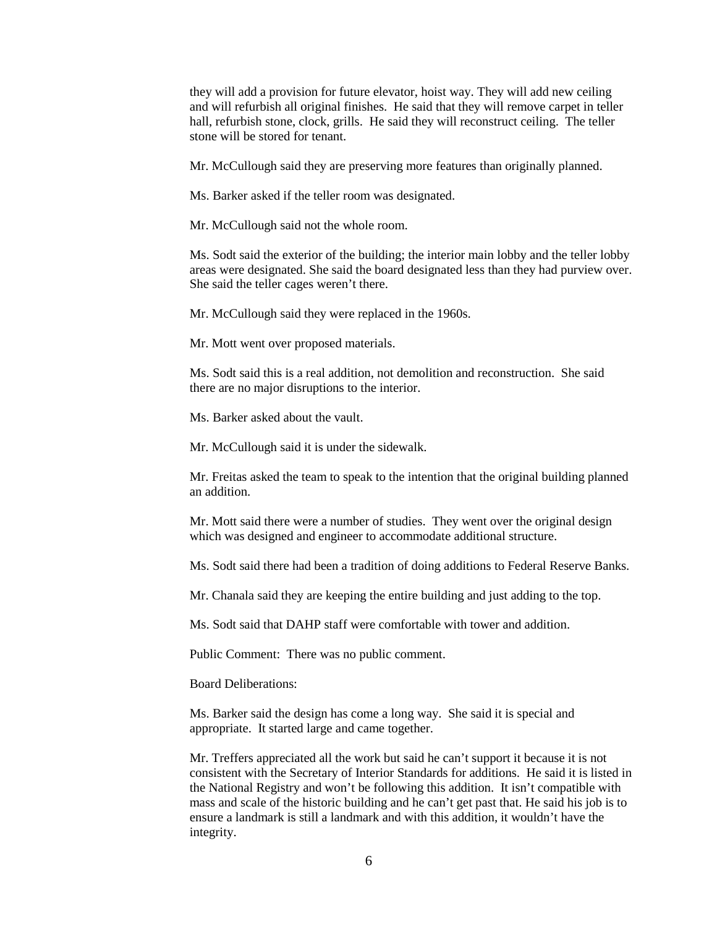they will add a provision for future elevator, hoist way. They will add new ceiling and will refurbish all original finishes. He said that they will remove carpet in teller hall, refurbish stone, clock, grills. He said they will reconstruct ceiling. The teller stone will be stored for tenant.

Mr. McCullough said they are preserving more features than originally planned.

Ms. Barker asked if the teller room was designated.

Mr. McCullough said not the whole room.

Ms. Sodt said the exterior of the building; the interior main lobby and the teller lobby areas were designated. She said the board designated less than they had purview over. She said the teller cages weren't there.

Mr. McCullough said they were replaced in the 1960s.

Mr. Mott went over proposed materials.

Ms. Sodt said this is a real addition, not demolition and reconstruction. She said there are no major disruptions to the interior.

Ms. Barker asked about the vault.

Mr. McCullough said it is under the sidewalk.

Mr. Freitas asked the team to speak to the intention that the original building planned an addition.

Mr. Mott said there were a number of studies. They went over the original design which was designed and engineer to accommodate additional structure.

Ms. Sodt said there had been a tradition of doing additions to Federal Reserve Banks.

Mr. Chanala said they are keeping the entire building and just adding to the top.

Ms. Sodt said that DAHP staff were comfortable with tower and addition.

Public Comment: There was no public comment.

Board Deliberations:

Ms. Barker said the design has come a long way. She said it is special and appropriate. It started large and came together.

Mr. Treffers appreciated all the work but said he can't support it because it is not consistent with the Secretary of Interior Standards for additions. He said it is listed in the National Registry and won't be following this addition. It isn't compatible with mass and scale of the historic building and he can't get past that. He said his job is to ensure a landmark is still a landmark and with this addition, it wouldn't have the integrity.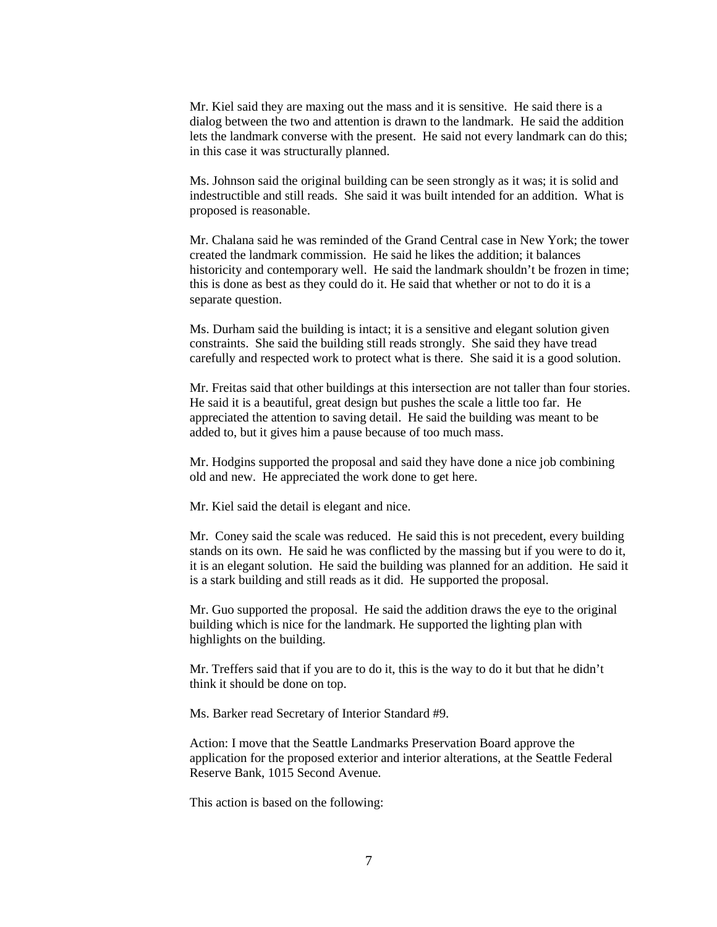Mr. Kiel said they are maxing out the mass and it is sensitive. He said there is a dialog between the two and attention is drawn to the landmark. He said the addition lets the landmark converse with the present. He said not every landmark can do this; in this case it was structurally planned.

Ms. Johnson said the original building can be seen strongly as it was; it is solid and indestructible and still reads. She said it was built intended for an addition. What is proposed is reasonable.

Mr. Chalana said he was reminded of the Grand Central case in New York; the tower created the landmark commission. He said he likes the addition; it balances historicity and contemporary well. He said the landmark shouldn't be frozen in time; this is done as best as they could do it. He said that whether or not to do it is a separate question.

Ms. Durham said the building is intact; it is a sensitive and elegant solution given constraints. She said the building still reads strongly. She said they have tread carefully and respected work to protect what is there. She said it is a good solution.

Mr. Freitas said that other buildings at this intersection are not taller than four stories. He said it is a beautiful, great design but pushes the scale a little too far. He appreciated the attention to saving detail. He said the building was meant to be added to, but it gives him a pause because of too much mass.

Mr. Hodgins supported the proposal and said they have done a nice job combining old and new. He appreciated the work done to get here.

Mr. Kiel said the detail is elegant and nice.

Mr. Coney said the scale was reduced. He said this is not precedent, every building stands on its own. He said he was conflicted by the massing but if you were to do it, it is an elegant solution. He said the building was planned for an addition. He said it is a stark building and still reads as it did. He supported the proposal.

Mr. Guo supported the proposal. He said the addition draws the eye to the original building which is nice for the landmark. He supported the lighting plan with highlights on the building.

Mr. Treffers said that if you are to do it, this is the way to do it but that he didn't think it should be done on top.

Ms. Barker read Secretary of Interior Standard #9.

Action: I move that the Seattle Landmarks Preservation Board approve the application for the proposed exterior and interior alterations, at the Seattle Federal Reserve Bank, 1015 Second Avenue*.*

This action is based on the following: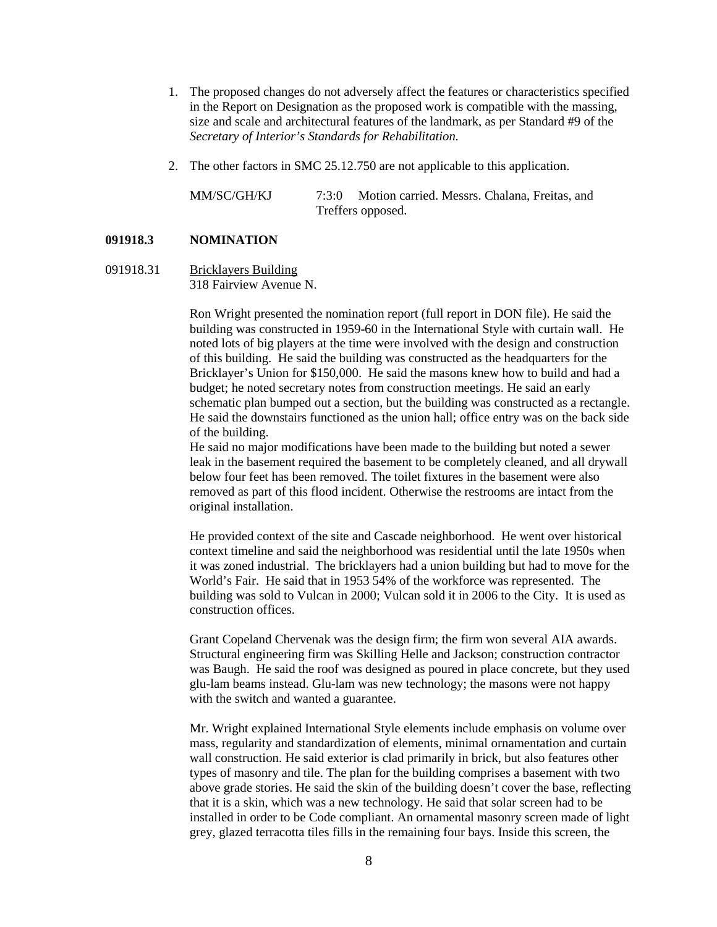- 1. The proposed changes do not adversely affect the features or characteristics specified in the Report on Designation as the proposed work is compatible with the massing, size and scale and architectural features of the landmark, as per Standard #9 of the *Secretary of Interior's Standards for Rehabilitation.*
- 2. The other factors in SMC 25.12.750 are not applicable to this application.

MM/SC/GH/KJ 7:3:0 Motion carried. Messrs. Chalana, Freitas, and Treffers opposed.

## **091918.3 NOMINATION**

## 091918.31 Bricklayers Building 318 Fairview Avenue N.

Ron Wright presented the nomination report (full report in DON file). He said the building was constructed in 1959-60 in the International Style with curtain wall. He noted lots of big players at the time were involved with the design and construction of this building. He said the building was constructed as the headquarters for the Bricklayer's Union for \$150,000. He said the masons knew how to build and had a budget; he noted secretary notes from construction meetings. He said an early schematic plan bumped out a section, but the building was constructed as a rectangle. He said the downstairs functioned as the union hall; office entry was on the back side of the building.

He said no major modifications have been made to the building but noted a sewer leak in the basement required the basement to be completely cleaned, and all drywall below four feet has been removed. The toilet fixtures in the basement were also removed as part of this flood incident. Otherwise the restrooms are intact from the original installation.

He provided context of the site and Cascade neighborhood. He went over historical context timeline and said the neighborhood was residential until the late 1950s when it was zoned industrial. The bricklayers had a union building but had to move for the World's Fair. He said that in 1953 54% of the workforce was represented. The building was sold to Vulcan in 2000; Vulcan sold it in 2006 to the City. It is used as construction offices.

Grant Copeland Chervenak was the design firm; the firm won several AIA awards. Structural engineering firm was Skilling Helle and Jackson; construction contractor was Baugh. He said the roof was designed as poured in place concrete, but they used glu-lam beams instead. Glu-lam was new technology; the masons were not happy with the switch and wanted a guarantee.

Mr. Wright explained International Style elements include emphasis on volume over mass, regularity and standardization of elements, minimal ornamentation and curtain wall construction. He said exterior is clad primarily in brick, but also features other types of masonry and tile. The plan for the building comprises a basement with two above grade stories. He said the skin of the building doesn't cover the base, reflecting that it is a skin, which was a new technology. He said that solar screen had to be installed in order to be Code compliant. An ornamental masonry screen made of light grey, glazed terracotta tiles fills in the remaining four bays. Inside this screen, the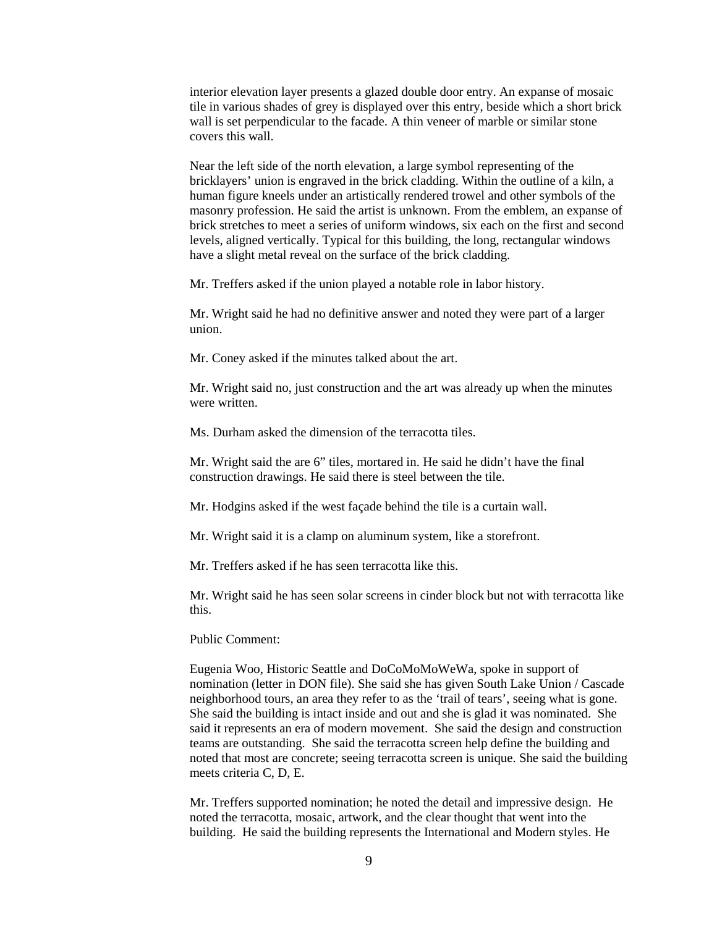interior elevation layer presents a glazed double door entry. An expanse of mosaic tile in various shades of grey is displayed over this entry, beside which a short brick wall is set perpendicular to the facade. A thin veneer of marble or similar stone covers this wall.

Near the left side of the north elevation, a large symbol representing of the bricklayers' union is engraved in the brick cladding. Within the outline of a kiln, a human figure kneels under an artistically rendered trowel and other symbols of the masonry profession. He said the artist is unknown. From the emblem, an expanse of brick stretches to meet a series of uniform windows, six each on the first and second levels, aligned vertically. Typical for this building, the long, rectangular windows have a slight metal reveal on the surface of the brick cladding.

Mr. Treffers asked if the union played a notable role in labor history.

Mr. Wright said he had no definitive answer and noted they were part of a larger union.

Mr. Coney asked if the minutes talked about the art.

Mr. Wright said no, just construction and the art was already up when the minutes were written.

Ms. Durham asked the dimension of the terracotta tiles.

Mr. Wright said the are 6" tiles, mortared in. He said he didn't have the final construction drawings. He said there is steel between the tile.

Mr. Hodgins asked if the west façade behind the tile is a curtain wall.

Mr. Wright said it is a clamp on aluminum system, like a storefront.

Mr. Treffers asked if he has seen terracotta like this.

Mr. Wright said he has seen solar screens in cinder block but not with terracotta like this.

Public Comment:

Eugenia Woo, Historic Seattle and DoCoMoMoWeWa, spoke in support of nomination (letter in DON file). She said she has given South Lake Union / Cascade neighborhood tours, an area they refer to as the 'trail of tears', seeing what is gone. She said the building is intact inside and out and she is glad it was nominated. She said it represents an era of modern movement. She said the design and construction teams are outstanding. She said the terracotta screen help define the building and noted that most are concrete; seeing terracotta screen is unique. She said the building meets criteria C, D, E.

Mr. Treffers supported nomination; he noted the detail and impressive design. He noted the terracotta, mosaic, artwork, and the clear thought that went into the building. He said the building represents the International and Modern styles. He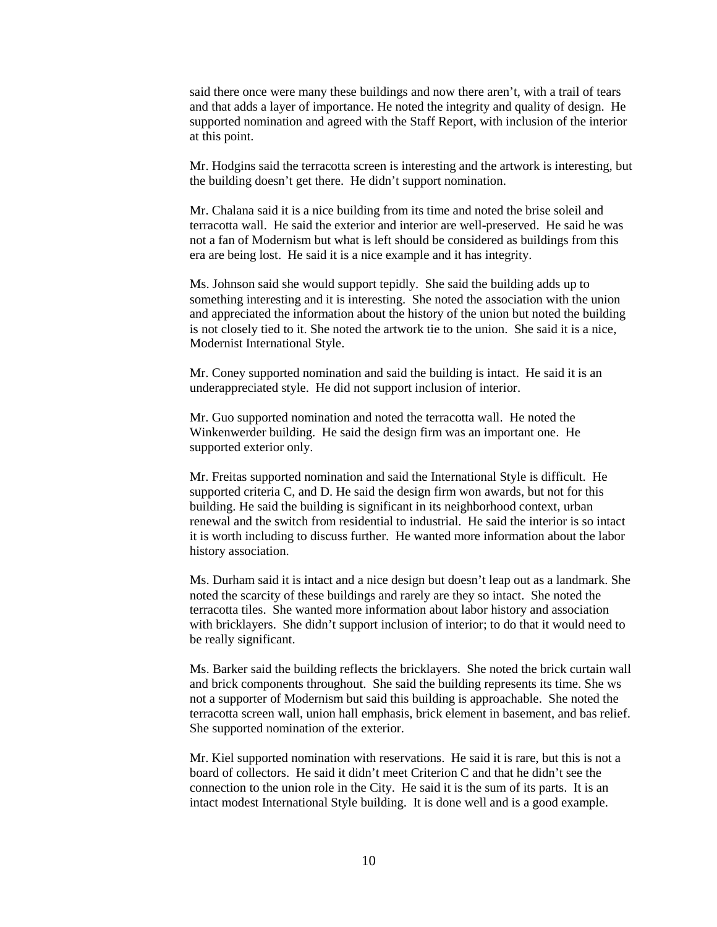said there once were many these buildings and now there aren't, with a trail of tears and that adds a layer of importance. He noted the integrity and quality of design. He supported nomination and agreed with the Staff Report, with inclusion of the interior at this point.

Mr. Hodgins said the terracotta screen is interesting and the artwork is interesting, but the building doesn't get there. He didn't support nomination.

Mr. Chalana said it is a nice building from its time and noted the brise soleil and terracotta wall. He said the exterior and interior are well-preserved. He said he was not a fan of Modernism but what is left should be considered as buildings from this era are being lost. He said it is a nice example and it has integrity.

Ms. Johnson said she would support tepidly. She said the building adds up to something interesting and it is interesting. She noted the association with the union and appreciated the information about the history of the union but noted the building is not closely tied to it. She noted the artwork tie to the union. She said it is a nice, Modernist International Style.

Mr. Coney supported nomination and said the building is intact. He said it is an underappreciated style. He did not support inclusion of interior.

Mr. Guo supported nomination and noted the terracotta wall. He noted the Winkenwerder building. He said the design firm was an important one. He supported exterior only.

Mr. Freitas supported nomination and said the International Style is difficult. He supported criteria C, and D. He said the design firm won awards, but not for this building. He said the building is significant in its neighborhood context, urban renewal and the switch from residential to industrial. He said the interior is so intact it is worth including to discuss further. He wanted more information about the labor history association.

Ms. Durham said it is intact and a nice design but doesn't leap out as a landmark. She noted the scarcity of these buildings and rarely are they so intact. She noted the terracotta tiles. She wanted more information about labor history and association with bricklayers. She didn't support inclusion of interior; to do that it would need to be really significant.

Ms. Barker said the building reflects the bricklayers. She noted the brick curtain wall and brick components throughout. She said the building represents its time. She ws not a supporter of Modernism but said this building is approachable. She noted the terracotta screen wall, union hall emphasis, brick element in basement, and bas relief. She supported nomination of the exterior.

Mr. Kiel supported nomination with reservations. He said it is rare, but this is not a board of collectors. He said it didn't meet Criterion C and that he didn't see the connection to the union role in the City. He said it is the sum of its parts. It is an intact modest International Style building. It is done well and is a good example.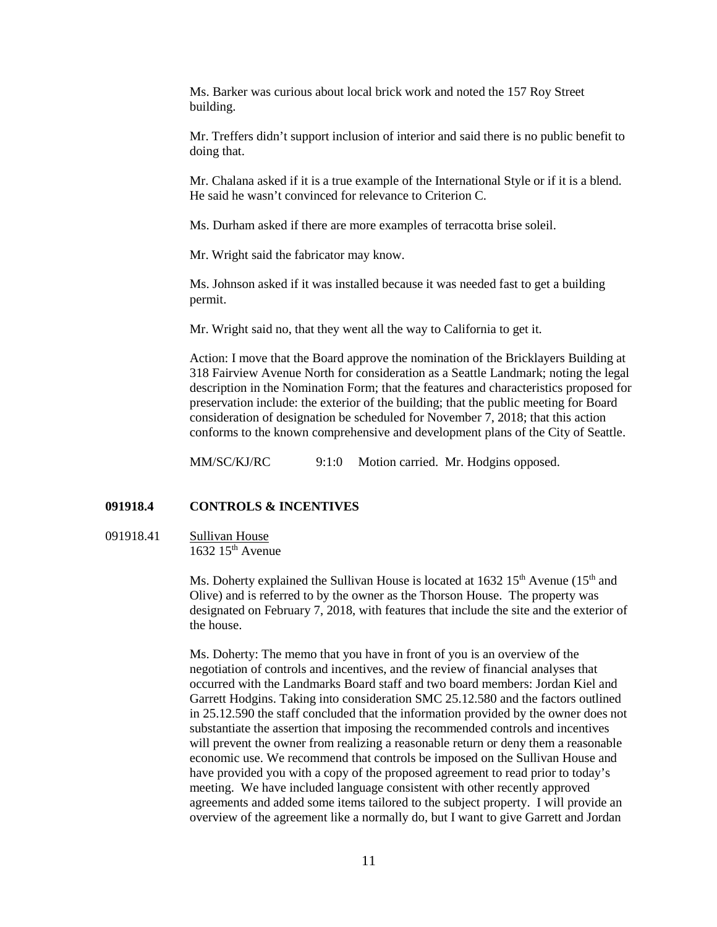Ms. Barker was curious about local brick work and noted the 157 Roy Street building.

Mr. Treffers didn't support inclusion of interior and said there is no public benefit to doing that.

Mr. Chalana asked if it is a true example of the International Style or if it is a blend. He said he wasn't convinced for relevance to Criterion C.

Ms. Durham asked if there are more examples of terracotta brise soleil.

Mr. Wright said the fabricator may know.

Ms. Johnson asked if it was installed because it was needed fast to get a building permit.

Mr. Wright said no, that they went all the way to California to get it.

Action: I move that the Board approve the nomination of the Bricklayers Building at 318 Fairview Avenue North for consideration as a Seattle Landmark; noting the legal description in the Nomination Form; that the features and characteristics proposed for preservation include: the exterior of the building; that the public meeting for Board consideration of designation be scheduled for November 7, 2018; that this action conforms to the known comprehensive and development plans of the City of Seattle.

MM/SC/KJ/RC 9:1:0 Motion carried. Mr. Hodgins opposed.

## **091918.4 CONTROLS & INCENTIVES**

## 091918.41 Sullivan House  $1632$   $15<sup>th</sup>$  Avenue

Ms. Doherty explained the Sullivan House is located at  $1632 \, 15^{th}$  Avenue ( $15^{th}$  and Olive) and is referred to by the owner as the Thorson House. The property was designated on February 7, 2018, with features that include the site and the exterior of the house.

Ms. Doherty: The memo that you have in front of you is an overview of the negotiation of controls and incentives, and the review of financial analyses that occurred with the Landmarks Board staff and two board members: Jordan Kiel and Garrett Hodgins. Taking into consideration SMC 25.12.580 and the factors outlined in 25.12.590 the staff concluded that the information provided by the owner does not substantiate the assertion that imposing the recommended controls and incentives will prevent the owner from realizing a reasonable return or deny them a reasonable economic use. We recommend that controls be imposed on the Sullivan House and have provided you with a copy of the proposed agreement to read prior to today's meeting. We have included language consistent with other recently approved agreements and added some items tailored to the subject property. I will provide an overview of the agreement like a normally do, but I want to give Garrett and Jordan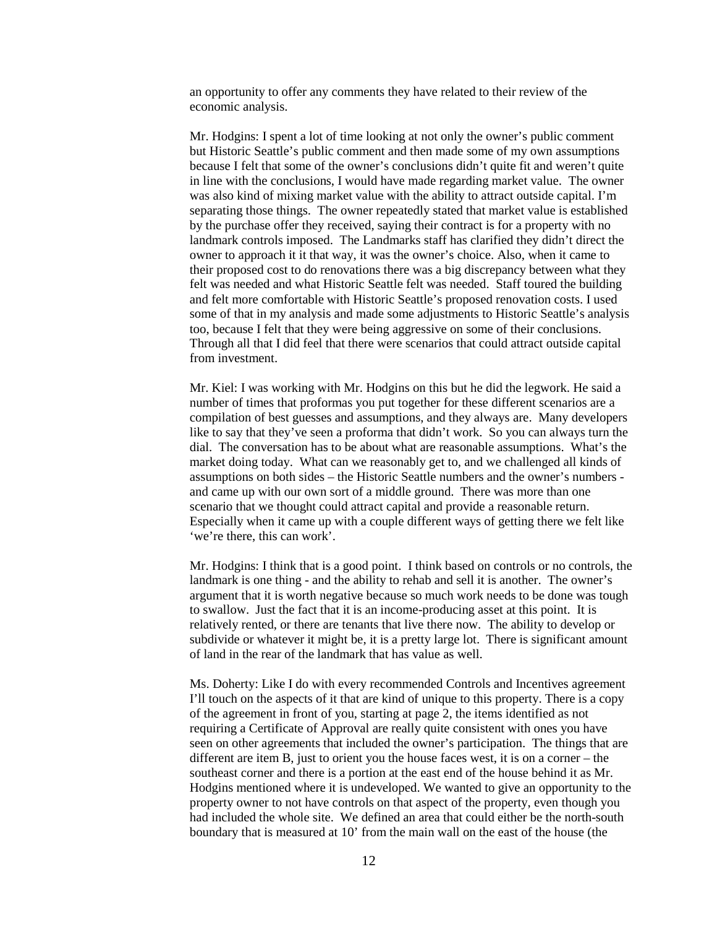an opportunity to offer any comments they have related to their review of the economic analysis.

Mr. Hodgins: I spent a lot of time looking at not only the owner's public comment but Historic Seattle's public comment and then made some of my own assumptions because I felt that some of the owner's conclusions didn't quite fit and weren't quite in line with the conclusions, I would have made regarding market value. The owner was also kind of mixing market value with the ability to attract outside capital. I'm separating those things. The owner repeatedly stated that market value is established by the purchase offer they received, saying their contract is for a property with no landmark controls imposed. The Landmarks staff has clarified they didn't direct the owner to approach it it that way, it was the owner's choice. Also, when it came to their proposed cost to do renovations there was a big discrepancy between what they felt was needed and what Historic Seattle felt was needed. Staff toured the building and felt more comfortable with Historic Seattle's proposed renovation costs. I used some of that in my analysis and made some adjustments to Historic Seattle's analysis too, because I felt that they were being aggressive on some of their conclusions. Through all that I did feel that there were scenarios that could attract outside capital from investment.

Mr. Kiel: I was working with Mr. Hodgins on this but he did the legwork. He said a number of times that proformas you put together for these different scenarios are a compilation of best guesses and assumptions, and they always are. Many developers like to say that they've seen a proforma that didn't work. So you can always turn the dial. The conversation has to be about what are reasonable assumptions. What's the market doing today. What can we reasonably get to, and we challenged all kinds of assumptions on both sides – the Historic Seattle numbers and the owner's numbers and came up with our own sort of a middle ground. There was more than one scenario that we thought could attract capital and provide a reasonable return. Especially when it came up with a couple different ways of getting there we felt like 'we're there, this can work'.

Mr. Hodgins: I think that is a good point. I think based on controls or no controls, the landmark is one thing - and the ability to rehab and sell it is another. The owner's argument that it is worth negative because so much work needs to be done was tough to swallow. Just the fact that it is an income-producing asset at this point. It is relatively rented, or there are tenants that live there now. The ability to develop or subdivide or whatever it might be, it is a pretty large lot. There is significant amount of land in the rear of the landmark that has value as well.

Ms. Doherty: Like I do with every recommended Controls and Incentives agreement I'll touch on the aspects of it that are kind of unique to this property. There is a copy of the agreement in front of you, starting at page 2, the items identified as not requiring a Certificate of Approval are really quite consistent with ones you have seen on other agreements that included the owner's participation. The things that are different are item B, just to orient you the house faces west, it is on a corner – the southeast corner and there is a portion at the east end of the house behind it as Mr. Hodgins mentioned where it is undeveloped. We wanted to give an opportunity to the property owner to not have controls on that aspect of the property, even though you had included the whole site. We defined an area that could either be the north-south boundary that is measured at 10' from the main wall on the east of the house (the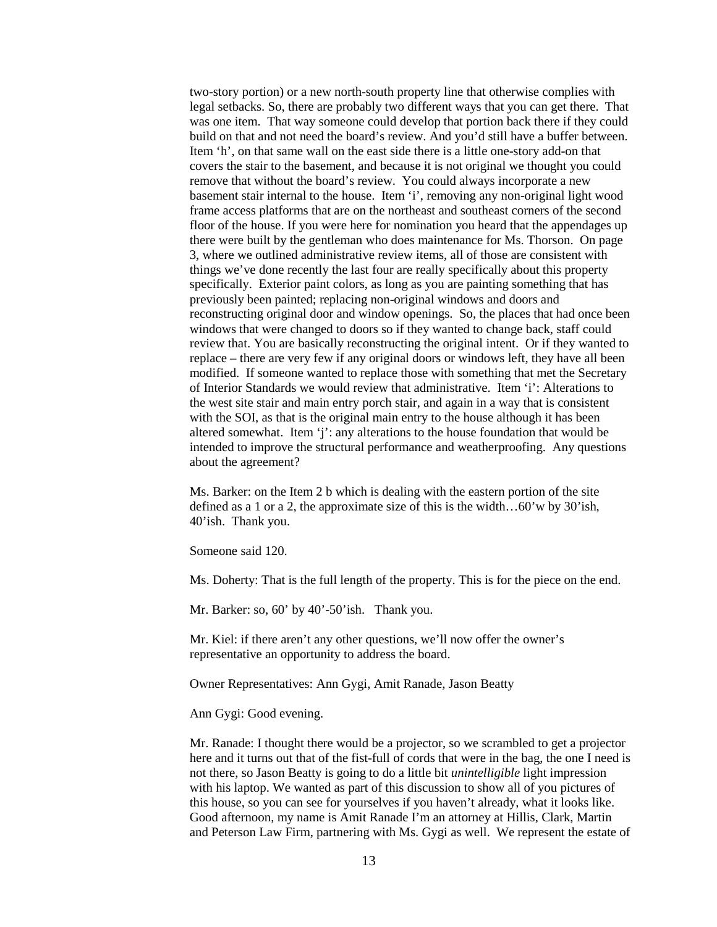two-story portion) or a new north-south property line that otherwise complies with legal setbacks. So, there are probably two different ways that you can get there. That was one item. That way someone could develop that portion back there if they could build on that and not need the board's review. And you'd still have a buffer between. Item 'h', on that same wall on the east side there is a little one-story add-on that covers the stair to the basement, and because it is not original we thought you could remove that without the board's review. You could always incorporate a new basement stair internal to the house. Item 'i', removing any non-original light wood frame access platforms that are on the northeast and southeast corners of the second floor of the house. If you were here for nomination you heard that the appendages up there were built by the gentleman who does maintenance for Ms. Thorson. On page 3, where we outlined administrative review items, all of those are consistent with things we've done recently the last four are really specifically about this property specifically. Exterior paint colors, as long as you are painting something that has previously been painted; replacing non-original windows and doors and reconstructing original door and window openings. So, the places that had once been windows that were changed to doors so if they wanted to change back, staff could review that. You are basically reconstructing the original intent. Or if they wanted to replace – there are very few if any original doors or windows left, they have all been modified. If someone wanted to replace those with something that met the Secretary of Interior Standards we would review that administrative. Item 'i': Alterations to the west site stair and main entry porch stair, and again in a way that is consistent with the SOI, as that is the original main entry to the house although it has been altered somewhat. Item 'j': any alterations to the house foundation that would be intended to improve the structural performance and weatherproofing. Any questions about the agreement?

Ms. Barker: on the Item 2 b which is dealing with the eastern portion of the site defined as a 1 or a 2, the approximate size of this is the width…60'w by 30'ish, 40'ish. Thank you.

Someone said 120.

Ms. Doherty: That is the full length of the property. This is for the piece on the end.

Mr. Barker: so, 60' by 40'-50'ish. Thank you.

Mr. Kiel: if there aren't any other questions, we'll now offer the owner's representative an opportunity to address the board.

Owner Representatives: Ann Gygi, Amit Ranade, Jason Beatty

Ann Gygi: Good evening.

Mr. Ranade: I thought there would be a projector, so we scrambled to get a projector here and it turns out that of the fist-full of cords that were in the bag, the one I need is not there, so Jason Beatty is going to do a little bit *unintelligible* light impression with his laptop. We wanted as part of this discussion to show all of you pictures of this house, so you can see for yourselves if you haven't already, what it looks like. Good afternoon, my name is Amit Ranade I'm an attorney at Hillis, Clark, Martin and Peterson Law Firm, partnering with Ms. Gygi as well. We represent the estate of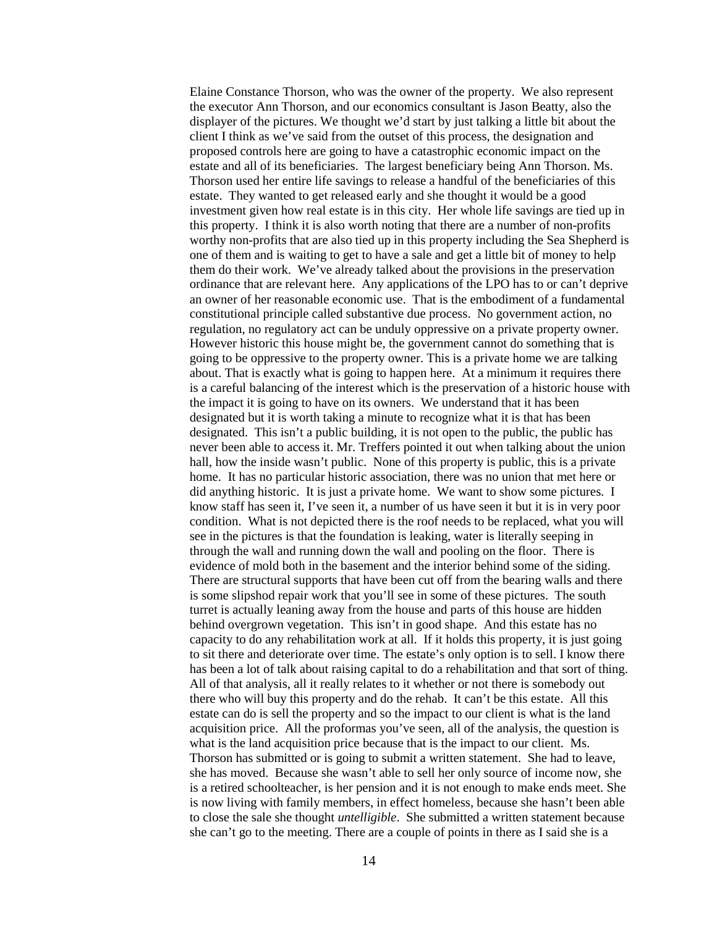Elaine Constance Thorson, who was the owner of the property. We also represent the executor Ann Thorson, and our economics consultant is Jason Beatty, also the displayer of the pictures. We thought we'd start by just talking a little bit about the client I think as we've said from the outset of this process, the designation and proposed controls here are going to have a catastrophic economic impact on the estate and all of its beneficiaries. The largest beneficiary being Ann Thorson. Ms. Thorson used her entire life savings to release a handful of the beneficiaries of this estate. They wanted to get released early and she thought it would be a good investment given how real estate is in this city. Her whole life savings are tied up in this property. I think it is also worth noting that there are a number of non-profits worthy non-profits that are also tied up in this property including the Sea Shepherd is one of them and is waiting to get to have a sale and get a little bit of money to help them do their work. We've already talked about the provisions in the preservation ordinance that are relevant here. Any applications of the LPO has to or can't deprive an owner of her reasonable economic use. That is the embodiment of a fundamental constitutional principle called substantive due process. No government action, no regulation, no regulatory act can be unduly oppressive on a private property owner. However historic this house might be, the government cannot do something that is going to be oppressive to the property owner. This is a private home we are talking about. That is exactly what is going to happen here. At a minimum it requires there is a careful balancing of the interest which is the preservation of a historic house with the impact it is going to have on its owners. We understand that it has been designated but it is worth taking a minute to recognize what it is that has been designated. This isn't a public building, it is not open to the public, the public has never been able to access it. Mr. Treffers pointed it out when talking about the union hall, how the inside wasn't public. None of this property is public, this is a private home. It has no particular historic association, there was no union that met here or did anything historic. It is just a private home. We want to show some pictures. I know staff has seen it, I've seen it, a number of us have seen it but it is in very poor condition. What is not depicted there is the roof needs to be replaced, what you will see in the pictures is that the foundation is leaking, water is literally seeping in through the wall and running down the wall and pooling on the floor. There is evidence of mold both in the basement and the interior behind some of the siding. There are structural supports that have been cut off from the bearing walls and there is some slipshod repair work that you'll see in some of these pictures. The south turret is actually leaning away from the house and parts of this house are hidden behind overgrown vegetation. This isn't in good shape. And this estate has no capacity to do any rehabilitation work at all. If it holds this property, it is just going to sit there and deteriorate over time. The estate's only option is to sell. I know there has been a lot of talk about raising capital to do a rehabilitation and that sort of thing. All of that analysis, all it really relates to it whether or not there is somebody out there who will buy this property and do the rehab. It can't be this estate. All this estate can do is sell the property and so the impact to our client is what is the land acquisition price. All the proformas you've seen, all of the analysis, the question is what is the land acquisition price because that is the impact to our client. Ms. Thorson has submitted or is going to submit a written statement. She had to leave, she has moved. Because she wasn't able to sell her only source of income now, she is a retired schoolteacher, is her pension and it is not enough to make ends meet. She is now living with family members, in effect homeless, because she hasn't been able to close the sale she thought *untelligible*. She submitted a written statement because she can't go to the meeting. There are a couple of points in there as I said she is a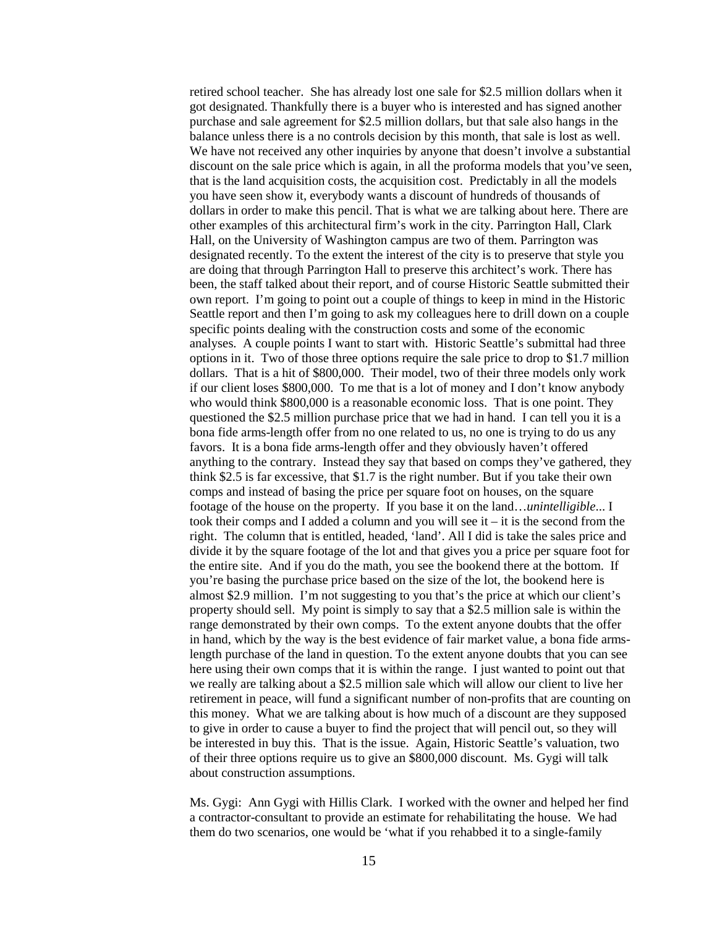retired school teacher. She has already lost one sale for \$2.5 million dollars when it got designated. Thankfully there is a buyer who is interested and has signed another purchase and sale agreement for \$2.5 million dollars, but that sale also hangs in the balance unless there is a no controls decision by this month, that sale is lost as well. We have not received any other inquiries by anyone that doesn't involve a substantial discount on the sale price which is again, in all the proforma models that you've seen, that is the land acquisition costs, the acquisition cost. Predictably in all the models you have seen show it, everybody wants a discount of hundreds of thousands of dollars in order to make this pencil. That is what we are talking about here. There are other examples of this architectural firm's work in the city. Parrington Hall, Clark Hall, on the University of Washington campus are two of them. Parrington was designated recently. To the extent the interest of the city is to preserve that style you are doing that through Parrington Hall to preserve this architect's work. There has been, the staff talked about their report, and of course Historic Seattle submitted their own report. I'm going to point out a couple of things to keep in mind in the Historic Seattle report and then I'm going to ask my colleagues here to drill down on a couple specific points dealing with the construction costs and some of the economic analyses. A couple points I want to start with. Historic Seattle's submittal had three options in it. Two of those three options require the sale price to drop to \$1.7 million dollars. That is a hit of \$800,000. Their model, two of their three models only work if our client loses \$800,000. To me that is a lot of money and I don't know anybody who would think \$800,000 is a reasonable economic loss. That is one point. They questioned the \$2.5 million purchase price that we had in hand. I can tell you it is a bona fide arms-length offer from no one related to us, no one is trying to do us any favors. It is a bona fide arms-length offer and they obviously haven't offered anything to the contrary. Instead they say that based on comps they've gathered, they think \$2.5 is far excessive, that \$1.7 is the right number. But if you take their own comps and instead of basing the price per square foot on houses, on the square footage of the house on the property. If you base it on the land…*unintelligible*... I took their comps and I added a column and you will see it – it is the second from the right. The column that is entitled, headed, 'land'. All I did is take the sales price and divide it by the square footage of the lot and that gives you a price per square foot for the entire site. And if you do the math, you see the bookend there at the bottom. If you're basing the purchase price based on the size of the lot, the bookend here is almost \$2.9 million. I'm not suggesting to you that's the price at which our client's property should sell. My point is simply to say that a \$2.5 million sale is within the range demonstrated by their own comps. To the extent anyone doubts that the offer in hand, which by the way is the best evidence of fair market value, a bona fide armslength purchase of the land in question. To the extent anyone doubts that you can see here using their own comps that it is within the range. I just wanted to point out that we really are talking about a \$2.5 million sale which will allow our client to live her retirement in peace, will fund a significant number of non-profits that are counting on this money. What we are talking about is how much of a discount are they supposed to give in order to cause a buyer to find the project that will pencil out, so they will be interested in buy this. That is the issue. Again, Historic Seattle's valuation, two of their three options require us to give an \$800,000 discount. Ms. Gygi will talk about construction assumptions.

Ms. Gygi: Ann Gygi with Hillis Clark. I worked with the owner and helped her find a contractor-consultant to provide an estimate for rehabilitating the house. We had them do two scenarios, one would be 'what if you rehabbed it to a single-family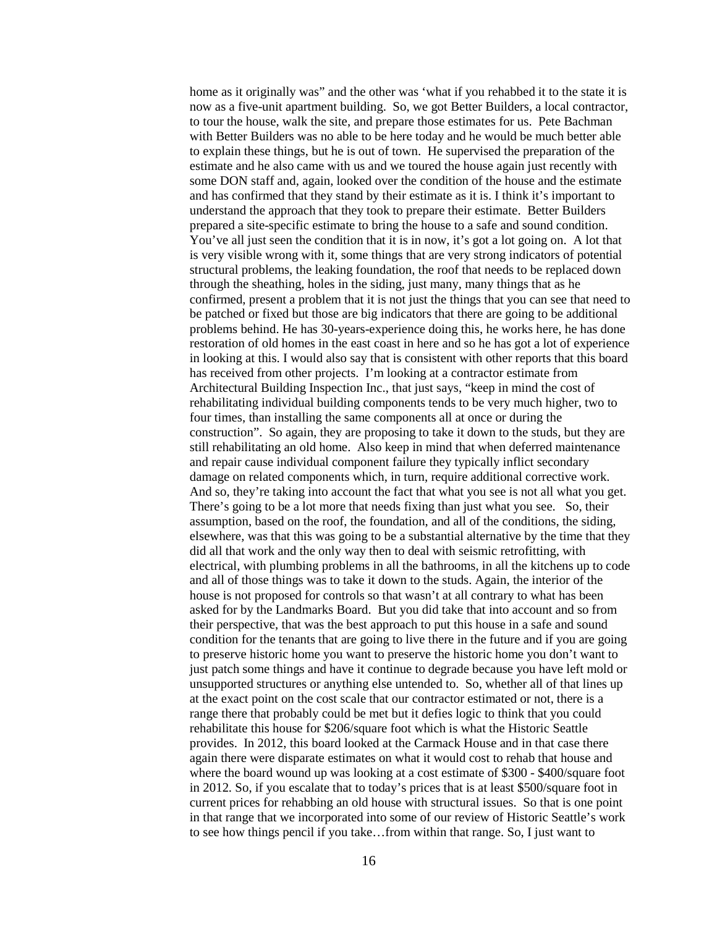home as it originally was" and the other was 'what if you rehabbed it to the state it is now as a five-unit apartment building. So, we got Better Builders, a local contractor, to tour the house, walk the site, and prepare those estimates for us. Pete Bachman with Better Builders was no able to be here today and he would be much better able to explain these things, but he is out of town. He supervised the preparation of the estimate and he also came with us and we toured the house again just recently with some DON staff and, again, looked over the condition of the house and the estimate and has confirmed that they stand by their estimate as it is. I think it's important to understand the approach that they took to prepare their estimate. Better Builders prepared a site-specific estimate to bring the house to a safe and sound condition. You've all just seen the condition that it is in now, it's got a lot going on. A lot that is very visible wrong with it, some things that are very strong indicators of potential structural problems, the leaking foundation, the roof that needs to be replaced down through the sheathing, holes in the siding, just many, many things that as he confirmed, present a problem that it is not just the things that you can see that need to be patched or fixed but those are big indicators that there are going to be additional problems behind. He has 30-years-experience doing this, he works here, he has done restoration of old homes in the east coast in here and so he has got a lot of experience in looking at this. I would also say that is consistent with other reports that this board has received from other projects. I'm looking at a contractor estimate from Architectural Building Inspection Inc., that just says, "keep in mind the cost of rehabilitating individual building components tends to be very much higher, two to four times, than installing the same components all at once or during the construction". So again, they are proposing to take it down to the studs, but they are still rehabilitating an old home. Also keep in mind that when deferred maintenance and repair cause individual component failure they typically inflict secondary damage on related components which, in turn, require additional corrective work. And so, they're taking into account the fact that what you see is not all what you get. There's going to be a lot more that needs fixing than just what you see. So, their assumption, based on the roof, the foundation, and all of the conditions, the siding, elsewhere, was that this was going to be a substantial alternative by the time that they did all that work and the only way then to deal with seismic retrofitting, with electrical, with plumbing problems in all the bathrooms, in all the kitchens up to code and all of those things was to take it down to the studs. Again, the interior of the house is not proposed for controls so that wasn't at all contrary to what has been asked for by the Landmarks Board. But you did take that into account and so from their perspective, that was the best approach to put this house in a safe and sound condition for the tenants that are going to live there in the future and if you are going to preserve historic home you want to preserve the historic home you don't want to just patch some things and have it continue to degrade because you have left mold or unsupported structures or anything else untended to. So, whether all of that lines up at the exact point on the cost scale that our contractor estimated or not, there is a range there that probably could be met but it defies logic to think that you could rehabilitate this house for \$206/square foot which is what the Historic Seattle provides. In 2012, this board looked at the Carmack House and in that case there again there were disparate estimates on what it would cost to rehab that house and where the board wound up was looking at a cost estimate of \$300 - \$400/square foot in 2012. So, if you escalate that to today's prices that is at least \$500/square foot in current prices for rehabbing an old house with structural issues. So that is one point in that range that we incorporated into some of our review of Historic Seattle's work to see how things pencil if you take…from within that range. So, I just want to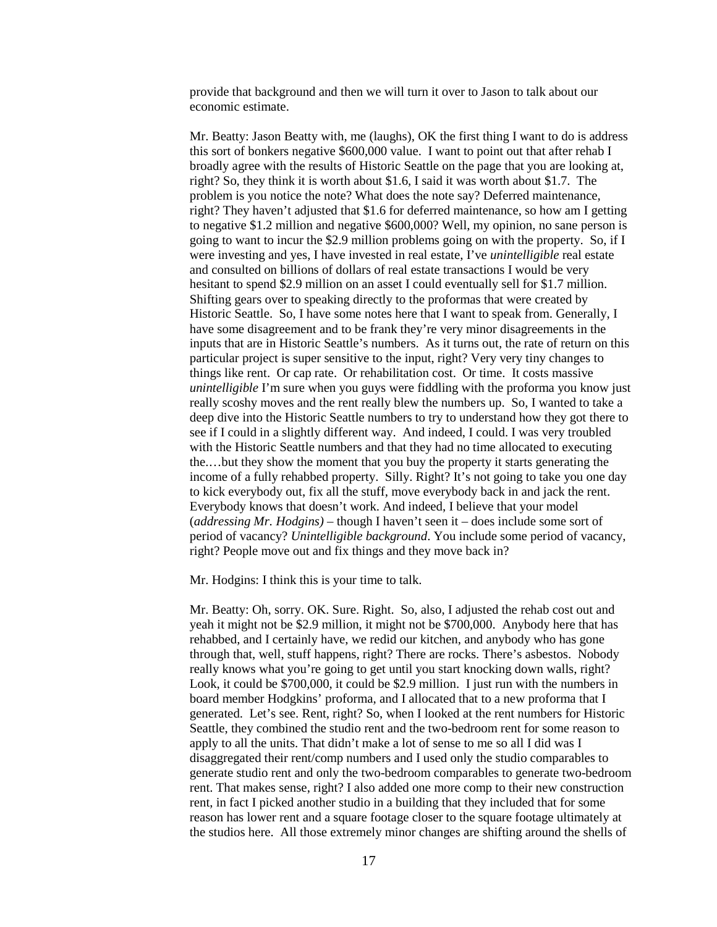provide that background and then we will turn it over to Jason to talk about our economic estimate.

Mr. Beatty: Jason Beatty with, me (laughs), OK the first thing I want to do is address this sort of bonkers negative \$600,000 value. I want to point out that after rehab I broadly agree with the results of Historic Seattle on the page that you are looking at, right? So, they think it is worth about \$1.6, I said it was worth about \$1.7. The problem is you notice the note? What does the note say? Deferred maintenance, right? They haven't adjusted that \$1.6 for deferred maintenance, so how am I getting to negative \$1.2 million and negative \$600,000? Well, my opinion, no sane person is going to want to incur the \$2.9 million problems going on with the property. So, if I were investing and yes, I have invested in real estate, I've *unintelligible* real estate and consulted on billions of dollars of real estate transactions I would be very hesitant to spend \$2.9 million on an asset I could eventually sell for \$1.7 million. Shifting gears over to speaking directly to the proformas that were created by Historic Seattle. So, I have some notes here that I want to speak from. Generally, I have some disagreement and to be frank they're very minor disagreements in the inputs that are in Historic Seattle's numbers. As it turns out, the rate of return on this particular project is super sensitive to the input, right? Very very tiny changes to things like rent. Or cap rate. Or rehabilitation cost. Or time. It costs massive *unintelligible* I'm sure when you guys were fiddling with the proforma you know just really scoshy moves and the rent really blew the numbers up. So, I wanted to take a deep dive into the Historic Seattle numbers to try to understand how they got there to see if I could in a slightly different way. And indeed, I could. I was very troubled with the Historic Seattle numbers and that they had no time allocated to executing the.…but they show the moment that you buy the property it starts generating the income of a fully rehabbed property. Silly. Right? It's not going to take you one day to kick everybody out, fix all the stuff, move everybody back in and jack the rent. Everybody knows that doesn't work. And indeed, I believe that your model (*addressing Mr. Hodgins)* – though I haven't seen it – does include some sort of period of vacancy? *Unintelligible background*. You include some period of vacancy, right? People move out and fix things and they move back in?

Mr. Hodgins: I think this is your time to talk.

Mr. Beatty: Oh, sorry. OK. Sure. Right. So, also, I adjusted the rehab cost out and yeah it might not be \$2.9 million, it might not be \$700,000. Anybody here that has rehabbed, and I certainly have, we redid our kitchen, and anybody who has gone through that, well, stuff happens, right? There are rocks. There's asbestos. Nobody really knows what you're going to get until you start knocking down walls, right? Look, it could be \$700,000, it could be \$2.9 million. I just run with the numbers in board member Hodgkins' proforma, and I allocated that to a new proforma that I generated. Let's see. Rent, right? So, when I looked at the rent numbers for Historic Seattle, they combined the studio rent and the two-bedroom rent for some reason to apply to all the units. That didn't make a lot of sense to me so all I did was I disaggregated their rent/comp numbers and I used only the studio comparables to generate studio rent and only the two-bedroom comparables to generate two-bedroom rent. That makes sense, right? I also added one more comp to their new construction rent, in fact I picked another studio in a building that they included that for some reason has lower rent and a square footage closer to the square footage ultimately at the studios here. All those extremely minor changes are shifting around the shells of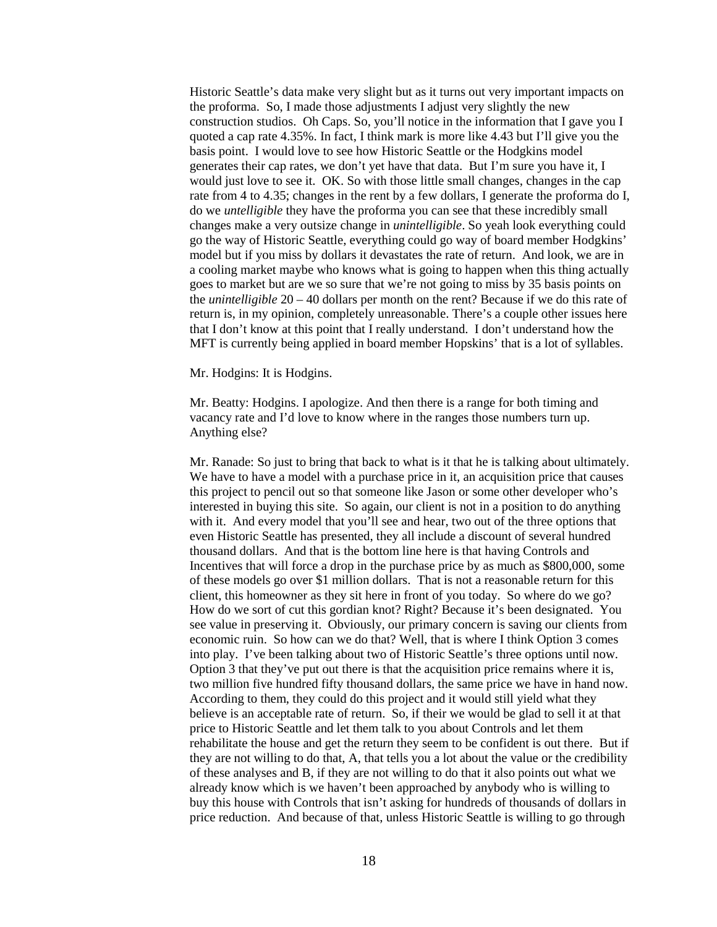Historic Seattle's data make very slight but as it turns out very important impacts on the proforma. So, I made those adjustments I adjust very slightly the new construction studios. Oh Caps. So, you'll notice in the information that I gave you I quoted a cap rate 4.35%. In fact, I think mark is more like 4.43 but I'll give you the basis point. I would love to see how Historic Seattle or the Hodgkins model generates their cap rates, we don't yet have that data. But I'm sure you have it, I would just love to see it. OK. So with those little small changes, changes in the cap rate from 4 to 4.35; changes in the rent by a few dollars, I generate the proforma do I, do we *untelligible* they have the proforma you can see that these incredibly small changes make a very outsize change in *unintelligible*. So yeah look everything could go the way of Historic Seattle, everything could go way of board member Hodgkins' model but if you miss by dollars it devastates the rate of return. And look, we are in a cooling market maybe who knows what is going to happen when this thing actually goes to market but are we so sure that we're not going to miss by 35 basis points on the *unintelligible* 20 – 40 dollars per month on the rent? Because if we do this rate of return is, in my opinion, completely unreasonable. There's a couple other issues here that I don't know at this point that I really understand. I don't understand how the MFT is currently being applied in board member Hopskins' that is a lot of syllables.

Mr. Hodgins: It is Hodgins.

Mr. Beatty: Hodgins. I apologize. And then there is a range for both timing and vacancy rate and I'd love to know where in the ranges those numbers turn up. Anything else?

Mr. Ranade: So just to bring that back to what is it that he is talking about ultimately. We have to have a model with a purchase price in it, an acquisition price that causes this project to pencil out so that someone like Jason or some other developer who's interested in buying this site. So again, our client is not in a position to do anything with it. And every model that you'll see and hear, two out of the three options that even Historic Seattle has presented, they all include a discount of several hundred thousand dollars. And that is the bottom line here is that having Controls and Incentives that will force a drop in the purchase price by as much as \$800,000, some of these models go over \$1 million dollars. That is not a reasonable return for this client, this homeowner as they sit here in front of you today. So where do we go? How do we sort of cut this gordian knot? Right? Because it's been designated. You see value in preserving it. Obviously, our primary concern is saving our clients from economic ruin. So how can we do that? Well, that is where I think Option 3 comes into play. I've been talking about two of Historic Seattle's three options until now. Option 3 that they've put out there is that the acquisition price remains where it is, two million five hundred fifty thousand dollars, the same price we have in hand now. According to them, they could do this project and it would still yield what they believe is an acceptable rate of return. So, if their we would be glad to sell it at that price to Historic Seattle and let them talk to you about Controls and let them rehabilitate the house and get the return they seem to be confident is out there. But if they are not willing to do that, A, that tells you a lot about the value or the credibility of these analyses and B, if they are not willing to do that it also points out what we already know which is we haven't been approached by anybody who is willing to buy this house with Controls that isn't asking for hundreds of thousands of dollars in price reduction. And because of that, unless Historic Seattle is willing to go through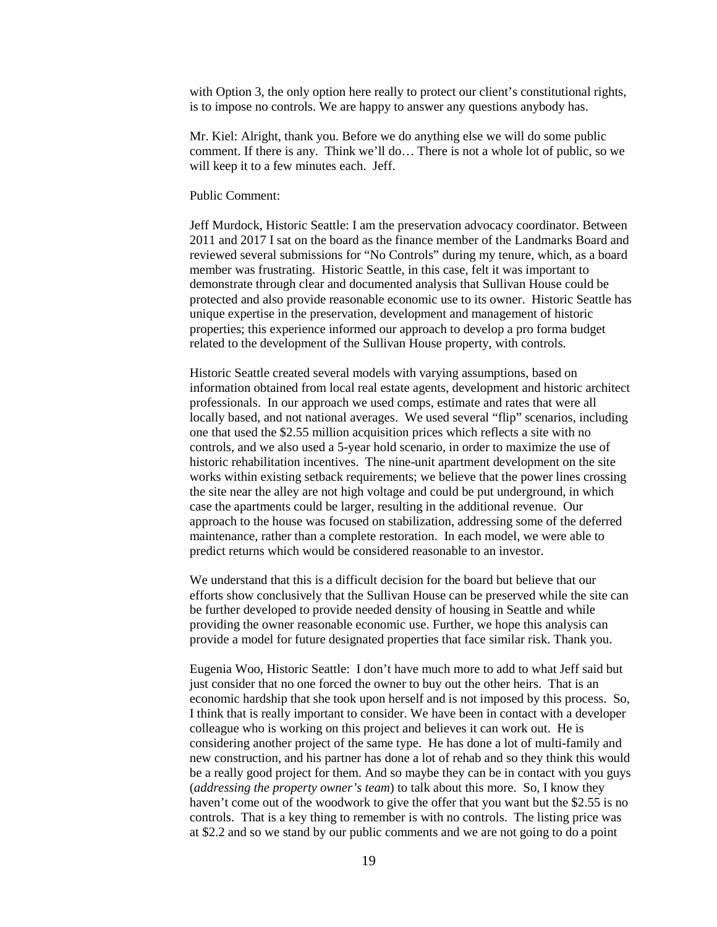with Option 3, the only option here really to protect our client's constitutional rights, is to impose no controls. We are happy to answer any questions anybody has.

Mr. Kiel: Alright, thank you. Before we do anything else we will do some public comment. If there is any. Think we'll do… There is not a whole lot of public, so we will keep it to a few minutes each. Jeff.

#### Public Comment:

Jeff Murdock, Historic Seattle: I am the preservation advocacy coordinator. Between 2011 and 2017 I sat on the board as the finance member of the Landmarks Board and reviewed several submissions for "No Controls" during my tenure, which, as a board member was frustrating. Historic Seattle, in this case, felt it was important to demonstrate through clear and documented analysis that Sullivan House could be protected and also provide reasonable economic use to its owner. Historic Seattle has unique expertise in the preservation, development and management of historic properties; this experience informed our approach to develop a pro forma budget related to the development of the Sullivan House property, with controls.

Historic Seattle created several models with varying assumptions, based on information obtained from local real estate agents, development and historic architect professionals. In our approach we used comps, estimate and rates that were all locally based, and not national averages. We used several "flip" scenarios, including one that used the \$2.55 million acquisition prices which reflects a site with no controls, and we also used a 5-year hold scenario, in order to maximize the use of historic rehabilitation incentives. The nine-unit apartment development on the site works within existing setback requirements; we believe that the power lines crossing the site near the alley are not high voltage and could be put underground, in which case the apartments could be larger, resulting in the additional revenue. Our approach to the house was focused on stabilization, addressing some of the deferred maintenance, rather than a complete restoration. In each model, we were able to predict returns which would be considered reasonable to an investor.

We understand that this is a difficult decision for the board but believe that our efforts show conclusively that the Sullivan House can be preserved while the site can be further developed to provide needed density of housing in Seattle and while providing the owner reasonable economic use. Further, we hope this analysis can provide a model for future designated properties that face similar risk. Thank you.

Eugenia Woo, Historic Seattle: I don't have much more to add to what Jeff said but just consider that no one forced the owner to buy out the other heirs. That is an economic hardship that she took upon herself and is not imposed by this process. So, I think that is really important to consider. We have been in contact with a developer colleague who is working on this project and believes it can work out. He is considering another project of the same type. He has done a lot of multi-family and new construction, and his partner has done a lot of rehab and so they think this would be a really good project for them. And so maybe they can be in contact with you guys (*addressing the property owner's team*) to talk about this more. So, I know they haven't come out of the woodwork to give the offer that you want but the \$2.55 is no controls. That is a key thing to remember is with no controls. The listing price was at \$2.2 and so we stand by our public comments and we are not going to do a point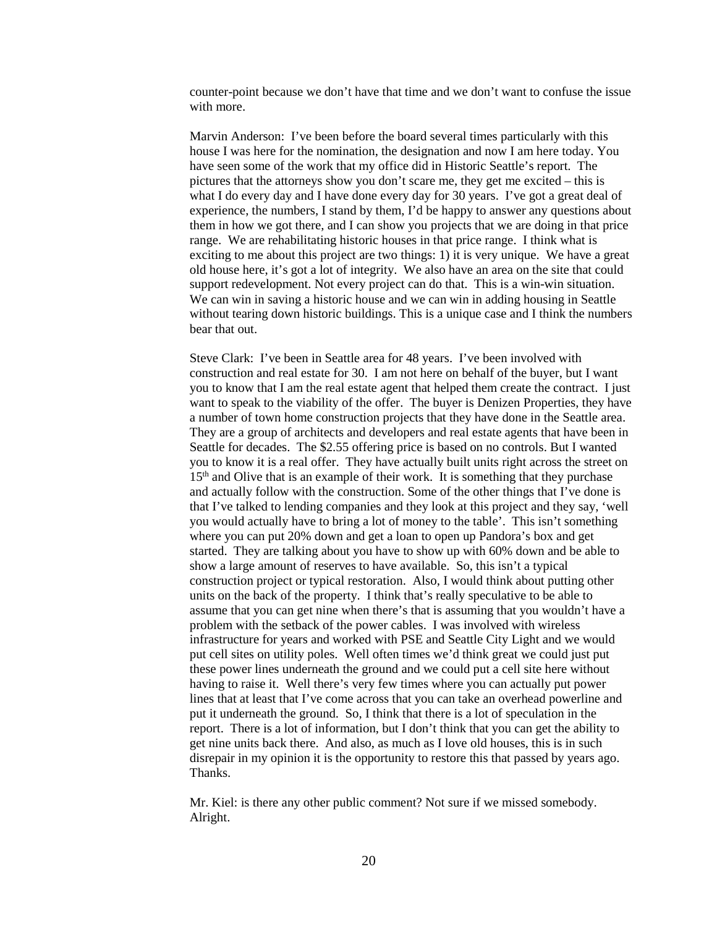counter-point because we don't have that time and we don't want to confuse the issue with more.

Marvin Anderson: I've been before the board several times particularly with this house I was here for the nomination, the designation and now I am here today. You have seen some of the work that my office did in Historic Seattle's report. The pictures that the attorneys show you don't scare me, they get me excited – this is what I do every day and I have done every day for 30 years. I've got a great deal of experience, the numbers, I stand by them, I'd be happy to answer any questions about them in how we got there, and I can show you projects that we are doing in that price range. We are rehabilitating historic houses in that price range. I think what is exciting to me about this project are two things: 1) it is very unique. We have a great old house here, it's got a lot of integrity. We also have an area on the site that could support redevelopment. Not every project can do that. This is a win-win situation. We can win in saving a historic house and we can win in adding housing in Seattle without tearing down historic buildings. This is a unique case and I think the numbers bear that out.

Steve Clark: I've been in Seattle area for 48 years. I've been involved with construction and real estate for 30. I am not here on behalf of the buyer, but I want you to know that I am the real estate agent that helped them create the contract. I just want to speak to the viability of the offer. The buyer is Denizen Properties, they have a number of town home construction projects that they have done in the Seattle area. They are a group of architects and developers and real estate agents that have been in Seattle for decades. The \$2.55 offering price is based on no controls. But I wanted you to know it is a real offer. They have actually built units right across the street on  $15<sup>th</sup>$  and Olive that is an example of their work. It is something that they purchase and actually follow with the construction. Some of the other things that I've done is that I've talked to lending companies and they look at this project and they say, 'well you would actually have to bring a lot of money to the table'. This isn't something where you can put 20% down and get a loan to open up Pandora's box and get started. They are talking about you have to show up with 60% down and be able to show a large amount of reserves to have available. So, this isn't a typical construction project or typical restoration. Also, I would think about putting other units on the back of the property. I think that's really speculative to be able to assume that you can get nine when there's that is assuming that you wouldn't have a problem with the setback of the power cables. I was involved with wireless infrastructure for years and worked with PSE and Seattle City Light and we would put cell sites on utility poles. Well often times we'd think great we could just put these power lines underneath the ground and we could put a cell site here without having to raise it. Well there's very few times where you can actually put power lines that at least that I've come across that you can take an overhead powerline and put it underneath the ground. So, I think that there is a lot of speculation in the report. There is a lot of information, but I don't think that you can get the ability to get nine units back there. And also, as much as I love old houses, this is in such disrepair in my opinion it is the opportunity to restore this that passed by years ago. Thanks.

Mr. Kiel: is there any other public comment? Not sure if we missed somebody. Alright.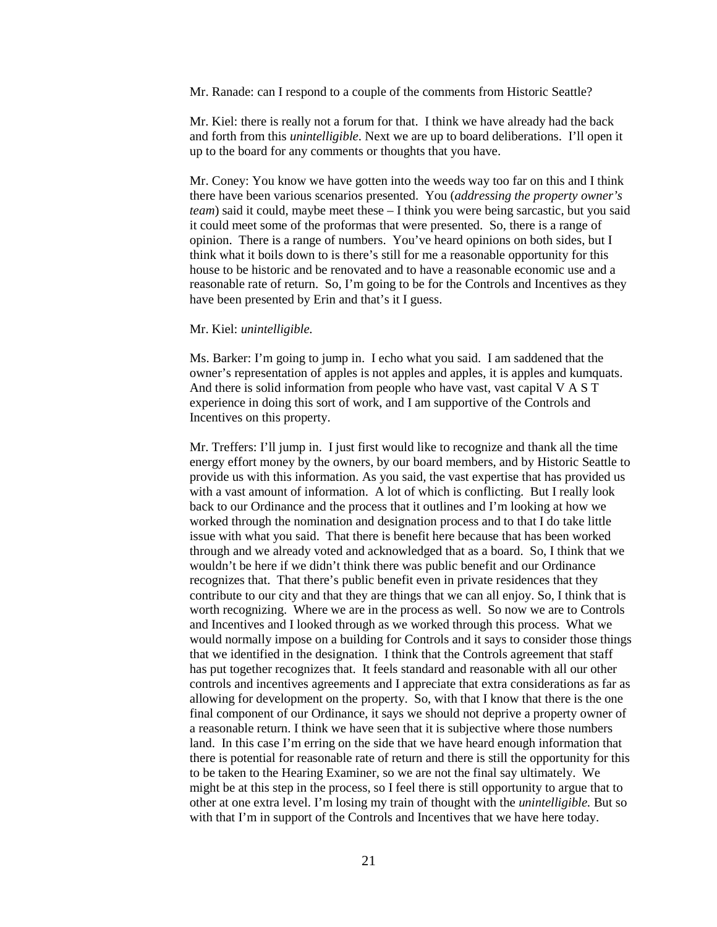Mr. Ranade: can I respond to a couple of the comments from Historic Seattle?

Mr. Kiel: there is really not a forum for that. I think we have already had the back and forth from this *unintelligible*. Next we are up to board deliberations. I'll open it up to the board for any comments or thoughts that you have.

Mr. Coney: You know we have gotten into the weeds way too far on this and I think there have been various scenarios presented. You (*addressing the property owner's team*) said it could, maybe meet these – I think you were being sarcastic, but you said it could meet some of the proformas that were presented. So, there is a range of opinion. There is a range of numbers. You've heard opinions on both sides, but I think what it boils down to is there's still for me a reasonable opportunity for this house to be historic and be renovated and to have a reasonable economic use and a reasonable rate of return. So, I'm going to be for the Controls and Incentives as they have been presented by Erin and that's it I guess.

## Mr. Kiel: *unintelligible.*

Ms. Barker: I'm going to jump in. I echo what you said. I am saddened that the owner's representation of apples is not apples and apples, it is apples and kumquats. And there is solid information from people who have vast, vast capital V A S T experience in doing this sort of work, and I am supportive of the Controls and Incentives on this property.

Mr. Treffers: I'll jump in. I just first would like to recognize and thank all the time energy effort money by the owners, by our board members, and by Historic Seattle to provide us with this information. As you said, the vast expertise that has provided us with a vast amount of information. A lot of which is conflicting. But I really look back to our Ordinance and the process that it outlines and I'm looking at how we worked through the nomination and designation process and to that I do take little issue with what you said. That there is benefit here because that has been worked through and we already voted and acknowledged that as a board. So, I think that we wouldn't be here if we didn't think there was public benefit and our Ordinance recognizes that. That there's public benefit even in private residences that they contribute to our city and that they are things that we can all enjoy. So, I think that is worth recognizing. Where we are in the process as well. So now we are to Controls and Incentives and I looked through as we worked through this process. What we would normally impose on a building for Controls and it says to consider those things that we identified in the designation. I think that the Controls agreement that staff has put together recognizes that. It feels standard and reasonable with all our other controls and incentives agreements and I appreciate that extra considerations as far as allowing for development on the property. So, with that I know that there is the one final component of our Ordinance, it says we should not deprive a property owner of a reasonable return. I think we have seen that it is subjective where those numbers land. In this case I'm erring on the side that we have heard enough information that there is potential for reasonable rate of return and there is still the opportunity for this to be taken to the Hearing Examiner, so we are not the final say ultimately. We might be at this step in the process, so I feel there is still opportunity to argue that to other at one extra level. I'm losing my train of thought with the *unintelligible.* But so with that I'm in support of the Controls and Incentives that we have here today.